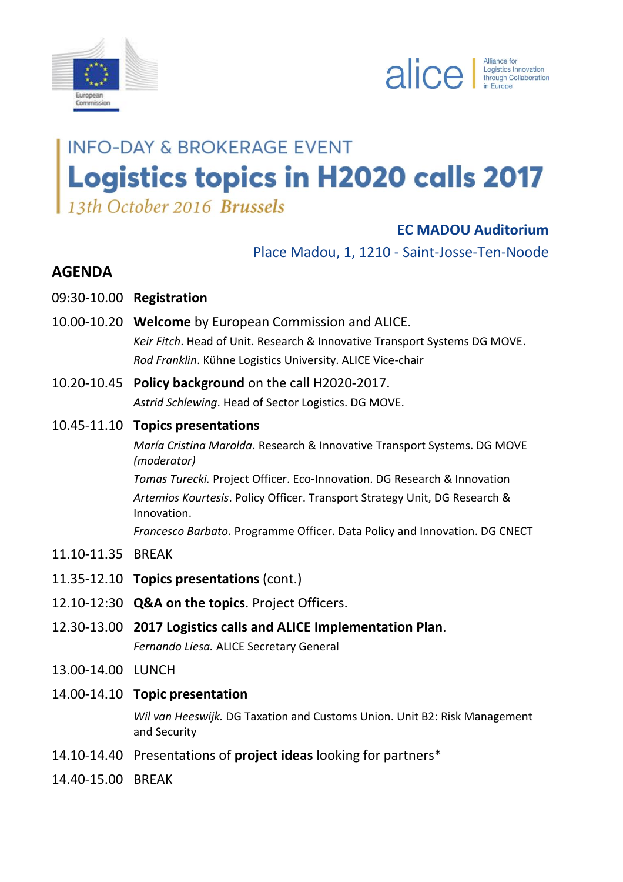



# **INFO-DAY & BROKERAGE EVENT Logistics topics in H2020 calls 2017** 13th October 2016 Brussels

**EC MADOU Auditorium**

Place Madou, 1, 1210 - Saint-Josse-Ten-Noode

### **AGENDA**

- 09:30-10.00 **Registration**
- 10.00-10.20 **Welcome** by European Commission and ALICE. *Keir Fitch*. Head of Unit. Research & Innovative Transport Systems DG MOVE. *Rod Franklin*. Kühne Logistics University. ALICE Vice-chair
- 10.20-10.45 **Policy background** on the call H2020-2017. *Astrid Schlewing*. Head of Sector Logistics. DG MOVE.
- 10.45-11.10 **Topics presentations**

*María Cristina Marolda*. Research & Innovative Transport Systems. DG MOVE *(moderator)*

*Tomas Turecki.* Project Officer. Eco-Innovation. DG Research & Innovation *Artemios Kourtesis*. Policy Officer. Transport Strategy Unit, DG Research & Innovation.

*Francesco Barbato.* Programme Officer. Data Policy and Innovation. DG CNECT

- 11.10-11.35 BREAK
- 11.35-12.10 **Topics presentations** (cont.)
- 12.10-12:30 **Q&A on the topics**. Project Officers.
- 12.30-13.00 **2017 Logistics calls and ALICE Implementation Plan**. *Fernando Liesa.* ALICE Secretary General
- 13.00-14.00 LUNCH
- 14.00-14.10 **Topic presentation**

*Wil van Heeswijk.* DG Taxation and Customs Union. Unit B2: Risk Management and Security

- 14.10-14.40 Presentations of **project ideas** looking for partners\*
- 14.40-15.00 BREAK